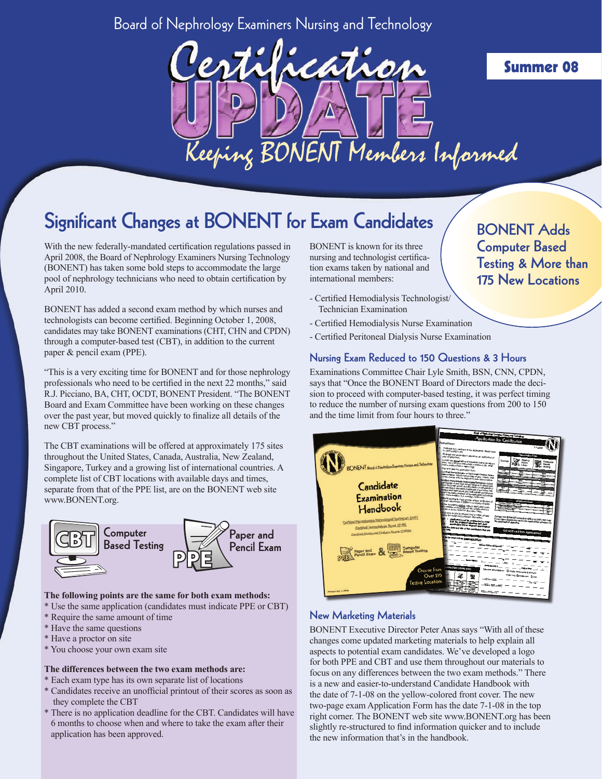## Board of Nephrology Examiners Nursing and Technology



## Significant Changes at BONENT for Exam Candidates

With the new federally-mandated certification regulations passed in April 2008, the Board of Nephrology Examiners Nursing Technology (BONENT) has taken some bold steps to accommodate the large pool of nephrology technicians who need to obtain certification by April 2010.

BONENT has added a second exam method by which nurses and technologists can become certified. Beginning October 1, 2008, candidates may take BONENT examinations (CHT, CHN and CPDN) through a computer-based test (CBT), in addition to the current paper & pencil exam (PPE).

"This is a very exciting time for BONENT and for those nephrology professionals who need to be certified in the next 22 months," said R.J. Picciano, BA, CHT, OCDT, BONENT President. "The BONENT Board and Exam Committee have been working on these changes over the past year, but moved quickly to finalize all details of the new CBT process."

The CBT examinations will be offered at approximately 175 sites throughout the United States, Canada, Australia, New Zealand, Singapore, Turkey and a growing list of international countries. A complete list of CBT locations with available days and times, separate from that of the PPE list, are on the BONENT web site www.BONENT.org.



#### **The following points are the same for both exam methods:**

- \* Use the same application (candidates must indicate PPE or CBT)
- \* Require the same amount of time
- \* Have the same questions
- \* Have a proctor on site
- \* You choose your own exam site

#### **The differences between the two exam methods are:**

- \* Each exam type has its own separate list of locations
- \* Candidates receive an unofficial printout of their scores as soon as they complete the CBT
- \* There is no application deadline for the CBT. Candidates will have 6 months to choose when and where to take the exam after their application has been approved.

BONENT is known for its three nursing and technologist certification exams taken by national and international members:

- Certified Hemodialysis Technologist/ Technician Examination
- Certified Hemodialysis Nurse Examination
- Certified Peritoneal Dialysis Nurse Examination

#### Nursing Exam Reduced to 150 Questions & 3 Hours

Examinations Committee Chair Lyle Smith, BSN, CNN, CPDN, says that "Once the BONENT Board of Directors made the decision to proceed with computer-based testing, it was perfect timing to reduce the number of nursing exam questions from 200 to 150 and the time limit from four hours to three."



#### New Marketing Materials

BONENT Executive Director Peter Anas says "With all of these changes come updated marketing materials to help explain all aspects to potential exam candidates. We've developed a logo for both PPE and CBT and use them throughout our materials to focus on any differences between the two exam methods." There is a new and easier-to-understand Candidate Handbook with the date of 7-1-08 on the yellow-colored front cover. The new two-page exam Application Form has the date 7-1-08 in the top right corner. The BONENT web site www.BONENT.org has been slightly re-structured to find information quicker and to include the new information that's in the handbook.

### BONENT Adds Computer Based Testing & More than 175 New Locations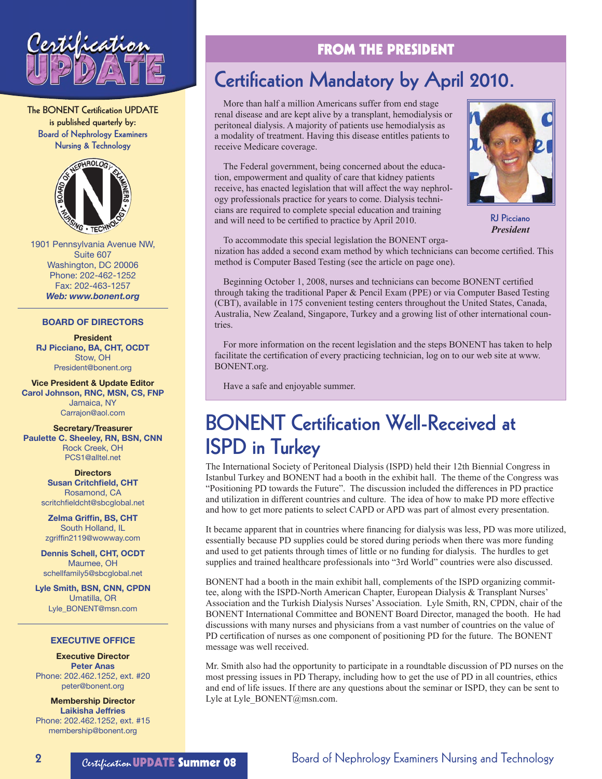

The BONENT Certification UPDATE is published quarterly by: Board of Nephrology Examiners Nursing & Technology



1901 Pennsylvania Avenue NW, Suite 607 Washington, DC 20006 Phone: 202-462-1252 Fax: 202-463-1257 *Web: www.bonent.org*

#### **BOARD OF DIRECTORS**

#### **President RJ Picciano, BA, CHT, OCDT** Stow, OH

President@bonent.org **Vice President & Update Editor Carol Johnson, RNC, MSN, CS, FNP**  Jamaica, NY

Carrajon@aol.com

**Secretary/Treasurer Paulette C. Sheeley, RN, BSN, CNN** Rock Creek, OH PCS1@alltel.net

### **Directors**

**Susan Critchfield, CHT**  Rosamond, CA scritchfieldcht@sbcglobal.net

**Zelma Griffin, BS, CHT**  South Holland, IL zgriffin2119@wowway.com

**Dennis Schell, CHT, OCDT**  Maumee, OH schellfamily5@sbcglobal.net

**Lyle Smith, BSN, CNN, CPDN**  Umatilla, OR Lyle\_BONENT@msn.com

#### **EXECUTIVE OFFICE**

**Executive Director Peter Anas**  Phone: 202.462.1252, ext. #20 peter@bonent.org

**Membership Director Laikisha Jeffries**  Phone: 202.462.1252, ext. #15 membership@bonent.org

### FROM THE PRESIDENT

## Certification Mandatory by April 2010.

More than half a million Americans suffer from end stage renal disease and are kept alive by a transplant, hemodialysis or peritoneal dialysis. A majority of patients use hemodialysis as a modality of treatment. Having this disease entitles patients to receive Medicare coverage.

The Federal government, being concerned about the education, empowerment and quality of care that kidney patients receive, has enacted legislation that will affect the way nephrology professionals practice for years to come. Dialysis technicians are required to complete special education and training and will need to be certified to practice by April 2010.



RJ Picciano *President*

To accommodate this special legislation the BONENT organization has added a second exam method by which technicians can become certified. This method is Computer Based Testing (see the article on page one).

Beginning October 1, 2008, nurses and technicians can become BONENT certified through taking the traditional Paper & Pencil Exam (PPE) or via Computer Based Testing (CBT), available in 175 convenient testing centers throughout the United States, Canada, Australia, New Zealand, Singapore, Turkey and a growing list of other international countries.

For more information on the recent legislation and the steps BONENT has taken to help facilitate the certification of every practicing technician, log on to our web site at www. BONENT.org.

Have a safe and enjoyable summer.

## BONENT Certification Well-Received at ISPD in Turkey

The International Society of Peritoneal Dialysis (ISPD) held their 12th Biennial Congress in Istanbul Turkey and BONENT had a booth in the exhibit hall. The theme of the Congress was "Positioning PD towards the Future". The discussion included the differences in PD practice and utilization in different countries and culture. The idea of how to make PD more effective and how to get more patients to select CAPD or APD was part of almost every presentation.

It became apparent that in countries where financing for dialysis was less, PD was more utilized, essentially because PD supplies could be stored during periods when there was more funding and used to get patients through times of little or no funding for dialysis. The hurdles to get supplies and trained healthcare professionals into "3rd World" countries were also discussed.

BONENT had a booth in the main exhibit hall, complements of the ISPD organizing committee, along with the ISPD-North American Chapter, European Dialysis & Transplant Nurses' Association and the Turkish Dialysis Nurses' Association. Lyle Smith, RN, CPDN, chair of the BONENT International Committee and BONENT Board Director, managed the booth. He had discussions with many nurses and physicians from a vast number of countries on the value of PD certification of nurses as one component of positioning PD for the future. The BONENT message was well received.

Mr. Smith also had the opportunity to participate in a roundtable discussion of PD nurses on the most pressing issues in PD Therapy, including how to get the use of PD in all countries, ethics and end of life issues. If there are any questions about the seminar or ISPD, they can be sent to Lyle at Lyle BONENT@msn.com.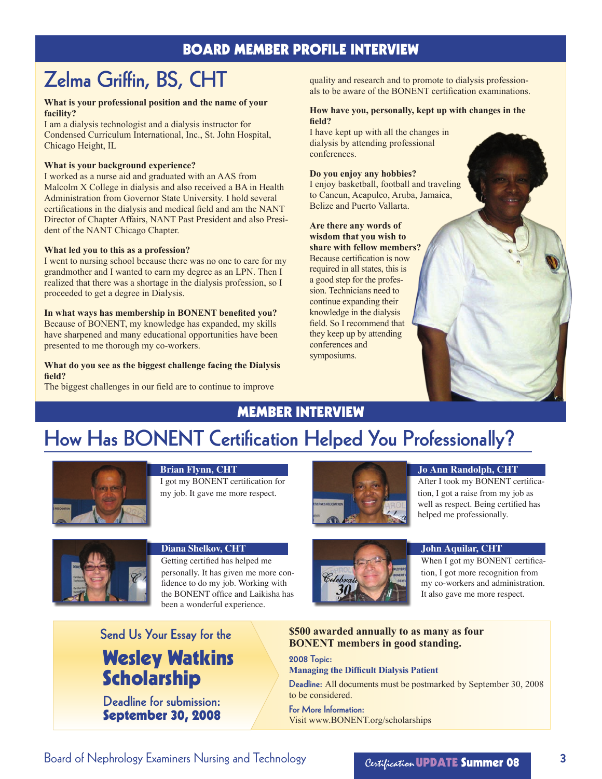### BOARD MEMBER PROFILE INTERVIEW

## Zelma Griffin, BS, CHT

#### **What is your professional position and the name of your facility?**

I am a dialysis technologist and a dialysis instructor for Condensed Curriculum International, Inc., St. John Hospital, Chicago Height, IL

#### **What is your background experience?**

I worked as a nurse aid and graduated with an AAS from Malcolm X College in dialysis and also received a BA in Health Administration from Governor State University. I hold several certifications in the dialysis and medical field and am the NANT Director of Chapter Affairs, NANT Past President and also President of the NANT Chicago Chapter.

#### **What led you to this as a profession?**

I went to nursing school because there was no one to care for my grandmother and I wanted to earn my degree as an LPN. Then I realized that there was a shortage in the dialysis profession, so I proceeded to get a degree in Dialysis.

**In what ways has membership in BONENT benefited you?** Because of BONENT, my knowledge has expanded, my skills have sharpened and many educational opportunities have been presented to me thorough my co-workers.

#### **What do you see as the biggest challenge facing the Dialysis field?**

The biggest challenges in our field are to continue to improve

quality and research and to promote to dialysis professionals to be aware of the BONENT certification examinations.

#### **How have you, personally, kept up with changes in the field?**

I have kept up with all the changes in dialysis by attending professional conferences.

#### **Do you enjoy any hobbies?**

I enjoy basketball, football and traveling to Cancun, Acapulco, Aruba, Jamaica, Belize and Puerto Vallarta.

**Are there any words of wisdom that you wish to share with fellow members?**  Because certification is now required in all states, this is a good step for the profession. Technicians need to continue expanding their knowledge in the dialysis field. So I recommend that they keep up by attending conferences and symposiums.

### Member Interview

## How Has BONENT Certification Helped You Professionally?



#### **Brian Flynn, CHT**

I got my BONENT certification for my job. It gave me more respect.



#### **Jo Ann Randolph, CHT**

After I took my BONENT certification, I got a raise from my job as well as respect. Being certified has helped me professionally.



#### **Diana Shelkov, CHT**

Getting certified has helped me personally. It has given me more confidence to do my job. Working with the BONENT office and Laikisha has been a wonderful experience.



#### **John Aquilar, CHT**

When I got my BONENT certification, I got more recognition from my co-workers and administration. It also gave me more respect.

Wesley Watkins Scholarship Send Us Your Essay for the

Deadline for submission: September 30, 2008 **\$500 awarded annually to as many as four BONENT members in good standing.**

2008 Topic: **Managing the Difficult Dialysis Patient**

Deadline: All documents must be postmarked by September 30, 2008 to be considered.

For More Information: Visit www.BONENT.org/scholarships

Board of Nephrology Examiners Nursing and Technology Board Certification **UPDATE Summer 08** 3